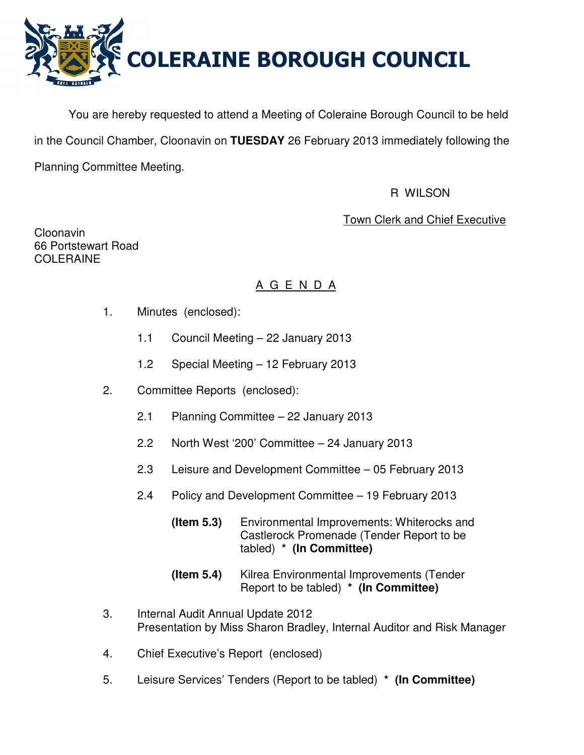

You are hereby requested to attend a Meeting of Coleraine Borough Council to be held in the Council Chamber, Cloonavin on **TUESDAY** 26 February 2013 immediately following the Planning Committee Meeting.

## R WILSON

# Town Clerk and Chief Executive

Cloonavin 66 Portstewart Road COLERAINE

# A G E N D A

- 1. Minutes (enclosed):
	- 1.1 Council Meeting 22 January 2013
	- 1.2 Special Meeting 12 February 2013
- 2. Committee Reports (enclosed):
	- 2.1 Planning Committee 22 January 2013
	- 2.2 North West '200' Committee 24 January 2013
	- 2.3 Leisure and Development Committee 05 February 2013
	- 2.4 Policy and Development Committee 19 February 2013
		- **(Item 5.3)** Environmental Improvements: Whiterocks and Castlerock Promenade (Tender Report to be tabled) **\* (In Committee)**
		- **(Item 5.4)** Kilrea Environmental Improvements (Tender Report to be tabled) **\* (In Committee)**
- 3. Internal Audit Annual Update 2012 Presentation by Miss Sharon Bradley, Internal Auditor and Risk Manager
- 4. Chief Executive's Report (enclosed)
- 5. Leisure Services' Tenders (Report to be tabled) **\* (In Committee)**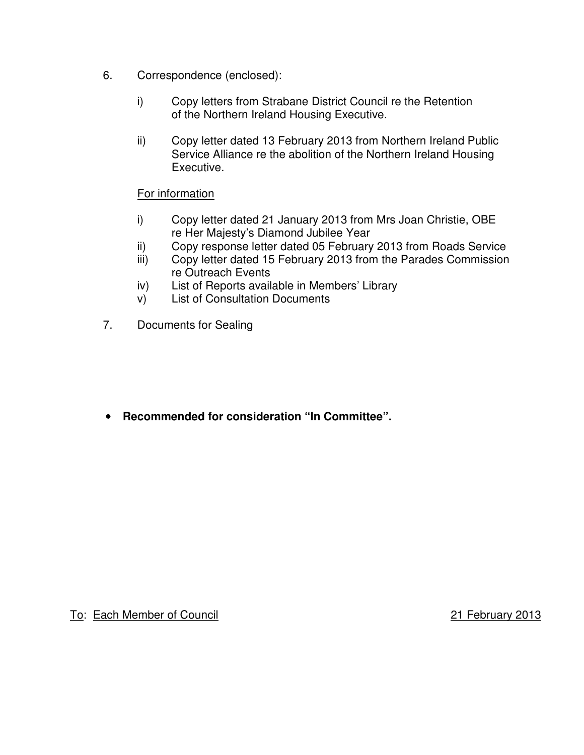- 6. Correspondence (enclosed):
	- i) Copy letters from Strabane District Council re the Retention of the Northern Ireland Housing Executive.
	- ii) Copy letter dated 13 February 2013 from Northern Ireland Public Service Alliance re the abolition of the Northern Ireland Housing Executive.

## For information

- i) Copy letter dated 21 January 2013 from Mrs Joan Christie, OBE re Her Majesty's Diamond Jubilee Year
- ii) Copy response letter dated 05 February 2013 from Roads Service
- iii) Copy letter dated 15 February 2013 from the Parades Commission re Outreach Events
- iv) List of Reports available in Members' Library
- v) List of Consultation Documents
- 7. Documents for Sealing

• **Recommended for consideration "In Committee".**

To: Each Member of Council 21 February 2013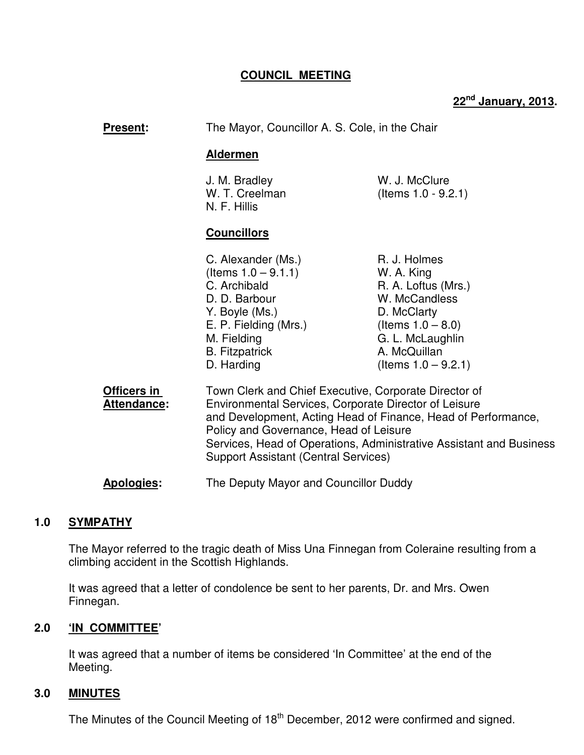## **COUNCIL MEETING**

# **22nd January, 2013.**

| Present:                          | The Mayor, Councillor A. S. Cole, in the Chair                                                                                                                                                                                                                                                                                                  |                                                                                                                                                                         |
|-----------------------------------|-------------------------------------------------------------------------------------------------------------------------------------------------------------------------------------------------------------------------------------------------------------------------------------------------------------------------------------------------|-------------------------------------------------------------------------------------------------------------------------------------------------------------------------|
|                                   | <b>Aldermen</b>                                                                                                                                                                                                                                                                                                                                 |                                                                                                                                                                         |
|                                   | J. M. Bradley<br>W. T. Creelman<br>N. F. Hillis                                                                                                                                                                                                                                                                                                 | W. J. McClure<br>(Items $1.0 - 9.2.1$ )                                                                                                                                 |
|                                   | <b>Councillors</b>                                                                                                                                                                                                                                                                                                                              |                                                                                                                                                                         |
|                                   | C. Alexander (Ms.)<br>(Items $1.0 - 9.1.1$ )<br>C. Archibald<br>D. D. Barbour<br>Y. Boyle (Ms.)<br>E. P. Fielding (Mrs.)<br>M. Fielding<br><b>B.</b> Fitzpatrick<br>D. Harding                                                                                                                                                                  | R. J. Holmes<br>W. A. King<br>R. A. Loftus (Mrs.)<br>W. McCandless<br>D. McClarty<br>(Items $1.0 - 8.0$ )<br>G. L. McLaughlin<br>A. McQuillan<br>(Items $1.0 - 9.2.1$ ) |
| Officers in<br><b>Attendance:</b> | Town Clerk and Chief Executive, Corporate Director of<br>Environmental Services, Corporate Director of Leisure<br>and Development, Acting Head of Finance, Head of Performance,<br>Policy and Governance, Head of Leisure<br>Services, Head of Operations, Administrative Assistant and Business<br><b>Support Assistant (Central Services)</b> |                                                                                                                                                                         |
| Apologies:                        | The Deputy Mayor and Councillor Duddy                                                                                                                                                                                                                                                                                                           |                                                                                                                                                                         |

## **1.0 SYMPATHY**

The Mayor referred to the tragic death of Miss Una Finnegan from Coleraine resulting from a climbing accident in the Scottish Highlands.

 It was agreed that a letter of condolence be sent to her parents, Dr. and Mrs. Owen Finnegan.

## **2.0 'IN COMMITTEE'**

 It was agreed that a number of items be considered 'In Committee' at the end of the Meeting.

## **3.0 MINUTES**

The Minutes of the Council Meeting of 18<sup>th</sup> December, 2012 were confirmed and signed.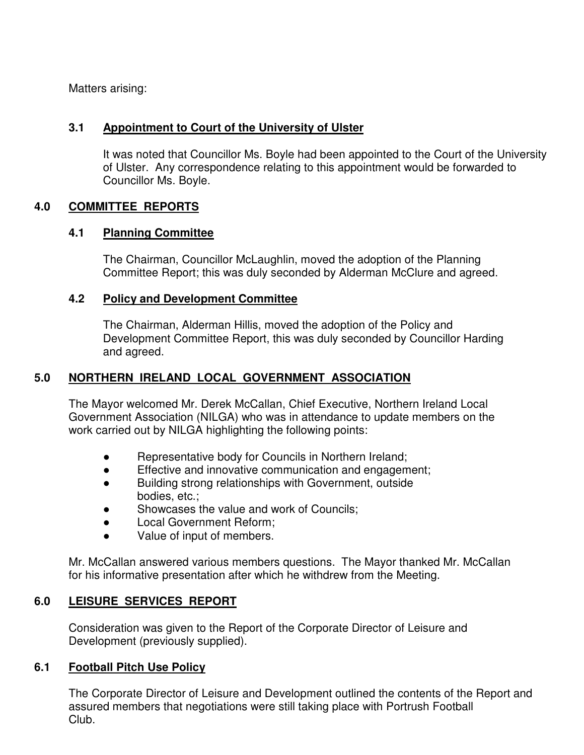Matters arising:

## **3.1 Appointment to Court of the University of Ulster**

It was noted that Councillor Ms. Boyle had been appointed to the Court of the University of Ulster. Any correspondence relating to this appointment would be forwarded to Councillor Ms. Boyle.

## **4.0 COMMITTEE REPORTS**

## **4.1 Planning Committee**

The Chairman, Councillor McLaughlin, moved the adoption of the Planning Committee Report; this was duly seconded by Alderman McClure and agreed.

## **4.2 Policy and Development Committee**

 The Chairman, Alderman Hillis, moved the adoption of the Policy and Development Committee Report, this was duly seconded by Councillor Harding and agreed.

## **5.0 NORTHERN IRELAND LOCAL GOVERNMENT ASSOCIATION**

 The Mayor welcomed Mr. Derek McCallan, Chief Executive, Northern Ireland Local Government Association (NILGA) who was in attendance to update members on the work carried out by NILGA highlighting the following points:

- Representative body for Councils in Northern Ireland;
- Effective and innovative communication and engagement;
- Building strong relationships with Government, outside bodies, etc.;
- Showcases the value and work of Councils:
- Local Government Reform;
- Value of input of members.

 Mr. McCallan answered various members questions. The Mayor thanked Mr. McCallan for his informative presentation after which he withdrew from the Meeting.

## **6.0 LEISURE SERVICES REPORT**

 Consideration was given to the Report of the Corporate Director of Leisure and Development (previously supplied).

## **6.1 Football Pitch Use Policy**

The Corporate Director of Leisure and Development outlined the contents of the Report and assured members that negotiations were still taking place with Portrush Football Club.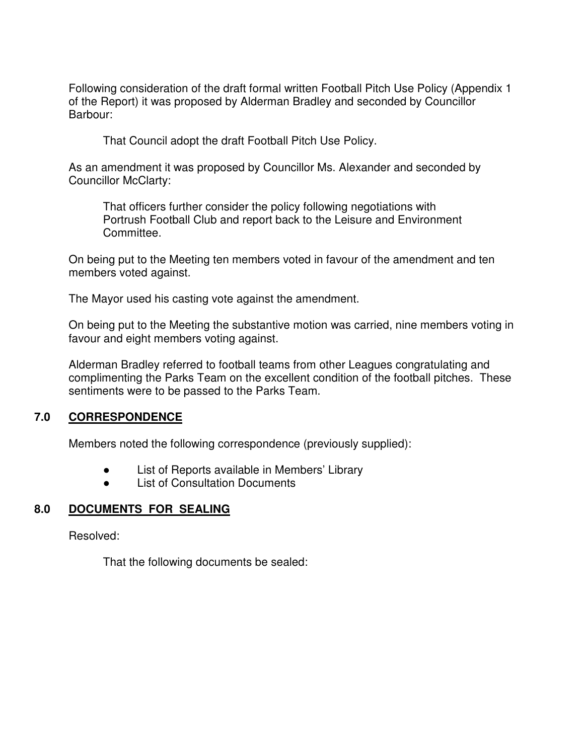Following consideration of the draft formal written Football Pitch Use Policy (Appendix 1 of the Report) it was proposed by Alderman Bradley and seconded by Councillor Barbour:

That Council adopt the draft Football Pitch Use Policy.

 As an amendment it was proposed by Councillor Ms. Alexander and seconded by Councillor McClarty:

 That officers further consider the policy following negotiations with Portrush Football Club and report back to the Leisure and Environment Committee.

 On being put to the Meeting ten members voted in favour of the amendment and ten members voted against.

The Mayor used his casting vote against the amendment.

 On being put to the Meeting the substantive motion was carried, nine members voting in favour and eight members voting against.

Alderman Bradley referred to football teams from other Leagues congratulating and complimenting the Parks Team on the excellent condition of the football pitches. These sentiments were to be passed to the Parks Team.

## **7.0 CORRESPONDENCE**

Members noted the following correspondence (previously supplied):

- List of Reports available in Members' Library
- List of Consultation Documents

## **8.0 DOCUMENTS FOR SEALING**

Resolved:

That the following documents be sealed: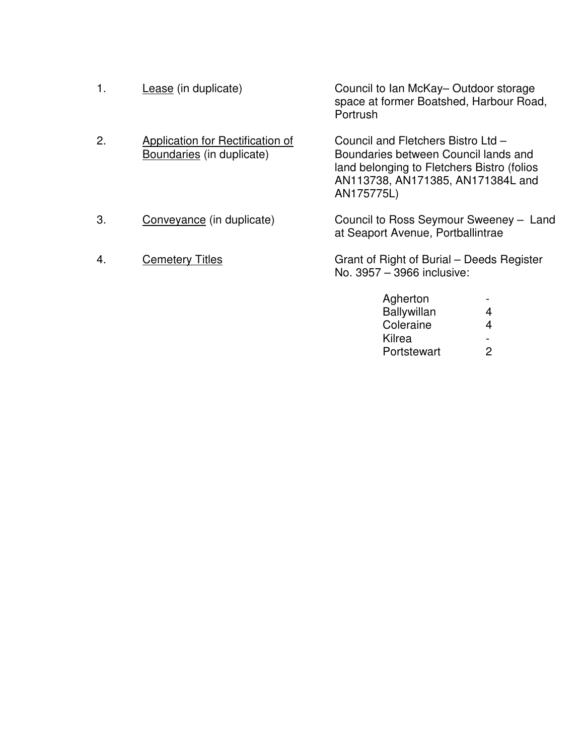| 1. | Lease (in duplicate)                                          | Council to Ian McKay-Outdoor storage<br>space at former Boatshed, Harbour Road,<br>Portrush                                                                                 |
|----|---------------------------------------------------------------|-----------------------------------------------------------------------------------------------------------------------------------------------------------------------------|
| 2. | Application for Rectification of<br>Boundaries (in duplicate) | Council and Fletchers Bistro Ltd -<br>Boundaries between Council lands and<br>land belonging to Fletchers Bistro (folios<br>AN113738, AN171385, AN171384L and<br>AN175775L) |
| 3. | Conveyance (in duplicate)                                     | Council to Ross Seymour Sweeney - Land<br>at Seaport Avenue, Portballintrae                                                                                                 |
| 4. | <b>Cemetery Titles</b>                                        | Grant of Right of Burial – Deeds Register<br>No. 3957 - 3966 inclusive:                                                                                                     |

 Agherton - Ballywillan 4 **Coleraine** 4

Portstewart

Kilrea<br>Portstewart 2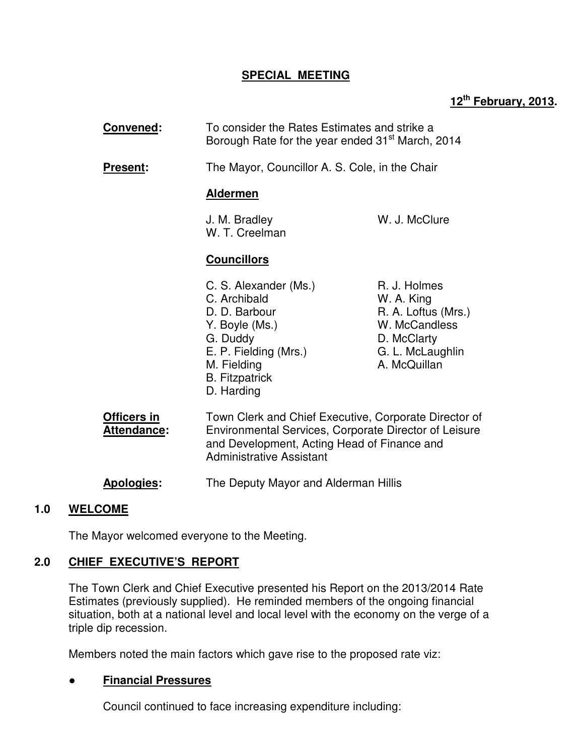## **SPECIAL MEETING**

# **12th February, 2013.**

| <b>Convened:</b>           | To consider the Rates Estimates and strike a<br>Borough Rate for the year ended 31 <sup>st</sup> March, 2014                                                                                     |                                                                                                                       |  |
|----------------------------|--------------------------------------------------------------------------------------------------------------------------------------------------------------------------------------------------|-----------------------------------------------------------------------------------------------------------------------|--|
| Present:                   |                                                                                                                                                                                                  | The Mayor, Councillor A. S. Cole, in the Chair                                                                        |  |
|                            | <b>Aldermen</b>                                                                                                                                                                                  |                                                                                                                       |  |
|                            | J. M. Bradley<br>W. T. Creelman                                                                                                                                                                  | W. J. McClure                                                                                                         |  |
|                            | <b>Councillors</b>                                                                                                                                                                               |                                                                                                                       |  |
|                            | C. S. Alexander (Ms.)<br>C. Archibald<br>D. D. Barbour<br>Y. Boyle (Ms.)<br>G. Duddy<br>E. P. Fielding (Mrs.)<br>M. Fielding<br><b>B.</b> Fitzpatrick<br>D. Harding                              | R. J. Holmes<br>W. A. King<br>R. A. Loftus (Mrs.)<br>W. McCandless<br>D. McClarty<br>G. L. McLaughlin<br>A. McQuillan |  |
| Officers in<br>Attendance: | Town Clerk and Chief Executive, Corporate Director of<br>Environmental Services, Corporate Director of Leisure<br>and Development, Acting Head of Finance and<br><b>Administrative Assistant</b> |                                                                                                                       |  |
| <b>Apologies:</b>          | The Deputy Mayor and Alderman Hillis                                                                                                                                                             |                                                                                                                       |  |

## **1.0 WELCOME**

The Mayor welcomed everyone to the Meeting.

## **2.0 CHIEF EXECUTIVE'S REPORT**

 The Town Clerk and Chief Executive presented his Report on the 2013/2014 Rate Estimates (previously supplied). He reminded members of the ongoing financial situation, both at a national level and local level with the economy on the verge of a triple dip recession.

Members noted the main factors which gave rise to the proposed rate viz:

## ● **Financial Pressures**

Council continued to face increasing expenditure including: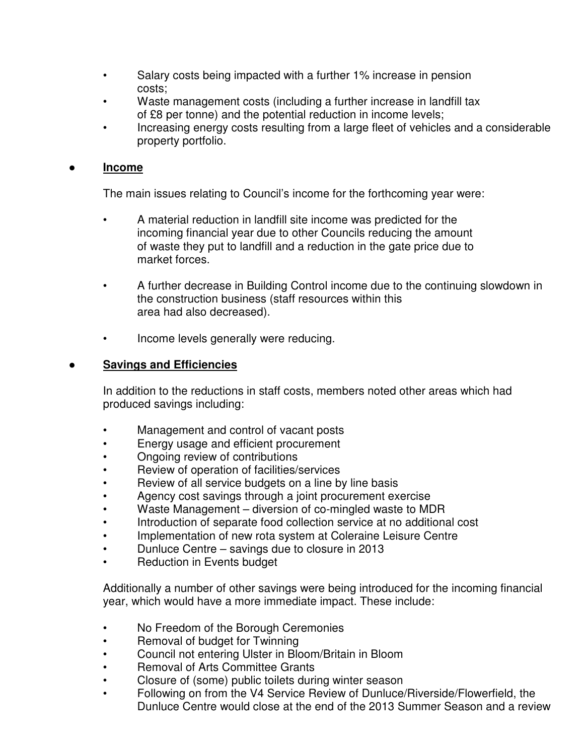- Salary costs being impacted with a further 1% increase in pension costs;
- Waste management costs (including a further increase in landfill tax of £8 per tonne) and the potential reduction in income levels;
- Increasing energy costs resulting from a large fleet of vehicles and a considerable property portfolio.

## ● **Income**

The main issues relating to Council's income for the forthcoming year were:

- A material reduction in landfill site income was predicted for the incoming financial year due to other Councils reducing the amount of waste they put to landfill and a reduction in the gate price due to market forces.
- A further decrease in Building Control income due to the continuing slowdown in the construction business (staff resources within this area had also decreased).
- Income levels generally were reducing.

## ● **Savings and Efficiencies**

 In addition to the reductions in staff costs, members noted other areas which had produced savings including:

- Management and control of vacant posts
- Energy usage and efficient procurement
- Ongoing review of contributions
- Review of operation of facilities/services
- Review of all service budgets on a line by line basis
- Agency cost savings through a joint procurement exercise
- Waste Management diversion of co-mingled waste to MDR
- Introduction of separate food collection service at no additional cost
- Implementation of new rota system at Coleraine Leisure Centre
- Dunluce Centre savings due to closure in 2013
- Reduction in Events budget

Additionally a number of other savings were being introduced for the incoming financial year, which would have a more immediate impact. These include:

- No Freedom of the Borough Ceremonies
- Removal of budget for Twinning
- Council not entering Ulster in Bloom/Britain in Bloom
- Removal of Arts Committee Grants
- Closure of (some) public toilets during winter season
- Following on from the V4 Service Review of Dunluce/Riverside/Flowerfield, the Dunluce Centre would close at the end of the 2013 Summer Season and a review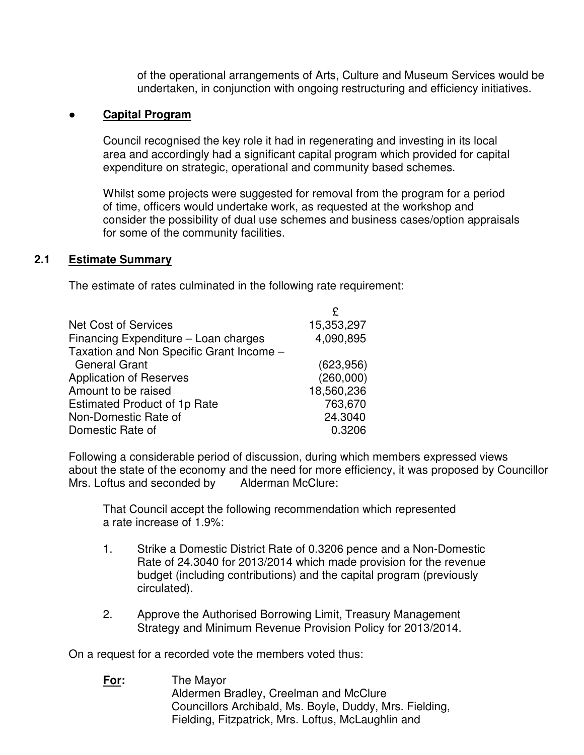of the operational arrangements of Arts, Culture and Museum Services would be undertaken, in conjunction with ongoing restructuring and efficiency initiatives.

## **Capital Program**

 Council recognised the key role it had in regenerating and investing in its local area and accordingly had a significant capital program which provided for capital expenditure on strategic, operational and community based schemes.

 Whilst some projects were suggested for removal from the program for a period of time, officers would undertake work, as requested at the workshop and consider the possibility of dual use schemes and business cases/option appraisals for some of the community facilities.

#### **2.1 Estimate Summary**

The estimate of rates culminated in the following rate requirement:

| <b>Net Cost of Services</b>              | 15,353,297 |
|------------------------------------------|------------|
| Financing Expenditure - Loan charges     | 4,090,895  |
| Taxation and Non Specific Grant Income - |            |
| <b>General Grant</b>                     | (623, 956) |
| <b>Application of Reserves</b>           | (260,000)  |
| Amount to be raised                      | 18,560,236 |
| <b>Estimated Product of 1p Rate</b>      | 763,670    |
| Non-Domestic Rate of                     | 24.3040    |
| Domestic Rate of                         | 0.3206     |
|                                          |            |

 Following a considerable period of discussion, during which members expressed views about the state of the economy and the need for more efficiency, it was proposed by Councillor<br>Mrs. Loftus and seconded by <br>Alderman McClure: Mrs. Loftus and seconded by

 That Council accept the following recommendation which represented a rate increase of 1.9%:

- 1. Strike a Domestic District Rate of 0.3206 pence and a Non-Domestic Rate of 24.3040 for 2013/2014 which made provision for the revenue budget (including contributions) and the capital program (previously circulated).
- 2. Approve the Authorised Borrowing Limit, Treasury Management Strategy and Minimum Revenue Provision Policy for 2013/2014.

On a request for a recorded vote the members voted thus:

 **For:** The Mayor Aldermen Bradley, Creelman and McClure Councillors Archibald, Ms. Boyle, Duddy, Mrs. Fielding, Fielding, Fitzpatrick, Mrs. Loftus, McLaughlin and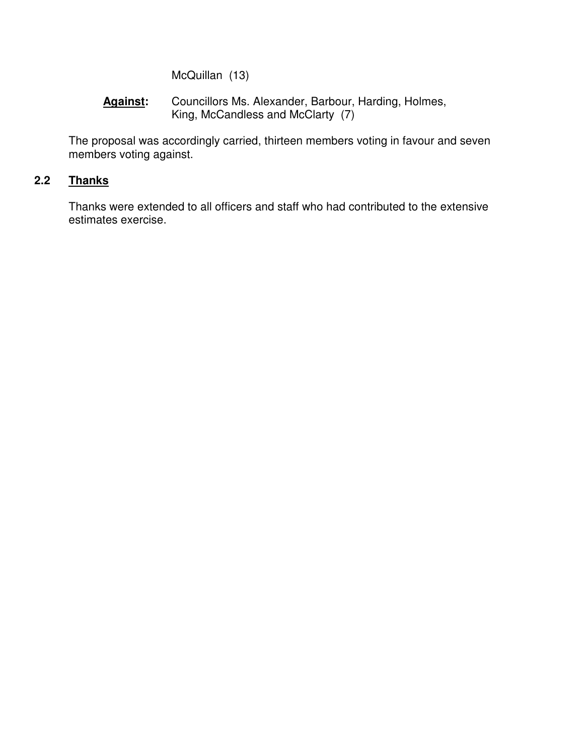McQuillan (13)

## **Against:** Councillors Ms. Alexander, Barbour, Harding, Holmes, King, McCandless and McClarty (7)

 The proposal was accordingly carried, thirteen members voting in favour and seven members voting against.

# **2.2 Thanks**

 Thanks were extended to all officers and staff who had contributed to the extensive estimates exercise.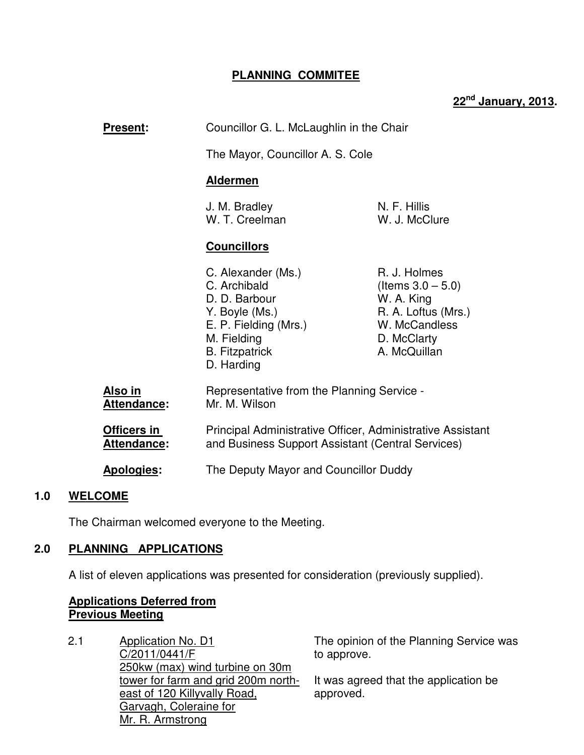## **PLANNING COMMITEE**

# **22nd January, 2013.**

| <b>Present:</b>                      | Councillor G. L. McLaughlin in the Chair<br>The Mayor, Councillor A. S. Cole                                                                             |                                                                                                                           |
|--------------------------------------|----------------------------------------------------------------------------------------------------------------------------------------------------------|---------------------------------------------------------------------------------------------------------------------------|
|                                      |                                                                                                                                                          |                                                                                                                           |
|                                      | <b>Aldermen</b>                                                                                                                                          |                                                                                                                           |
|                                      | J. M. Bradley<br>W. T. Creelman                                                                                                                          | N. F. Hillis<br>W. J. McClure                                                                                             |
|                                      | <b>Councillors</b>                                                                                                                                       |                                                                                                                           |
|                                      | C. Alexander (Ms.)<br>C. Archibald<br>D. D. Barbour<br>Y. Boyle (Ms.)<br>E. P. Fielding (Mrs.)<br>M. Fielding<br><b>B.</b> Fitzpatrick<br>D. Harding     | R. J. Holmes<br>(Items $3.0 - 5.0$ )<br>W. A. King<br>R. A. Loftus (Mrs.)<br>W. McCandless<br>D. McClarty<br>A. McQuillan |
| <u>Also in</u><br><b>Attendance:</b> | Representative from the Planning Service -<br>Mr. M. Wilson                                                                                              |                                                                                                                           |
| Officers in<br>Attendance:           | Principal Administrative Officer, Administrative Assistant<br>and Business Support Assistant (Central Services)<br>The Deputy Mayor and Councillor Duddy |                                                                                                                           |
| <b>Apologies:</b>                    |                                                                                                                                                          |                                                                                                                           |
|                                      |                                                                                                                                                          |                                                                                                                           |

## **1.0 WELCOME**

The Chairman welcomed everyone to the Meeting.

## **2.0 PLANNING APPLICATIONS**

A list of eleven applications was presented for consideration (previously supplied).

## **Applications Deferred from Previous Meeting**

2.1 Application No. D1 C/2011/0441/F 250kw (max) wind turbine on 30m tower for farm and grid 200m northeast of 120 Killyvally Road, Garvagh, Coleraine for Mr. R. Armstrong The opinion of the Planning Service was to approve. It was agreed that the application be approved.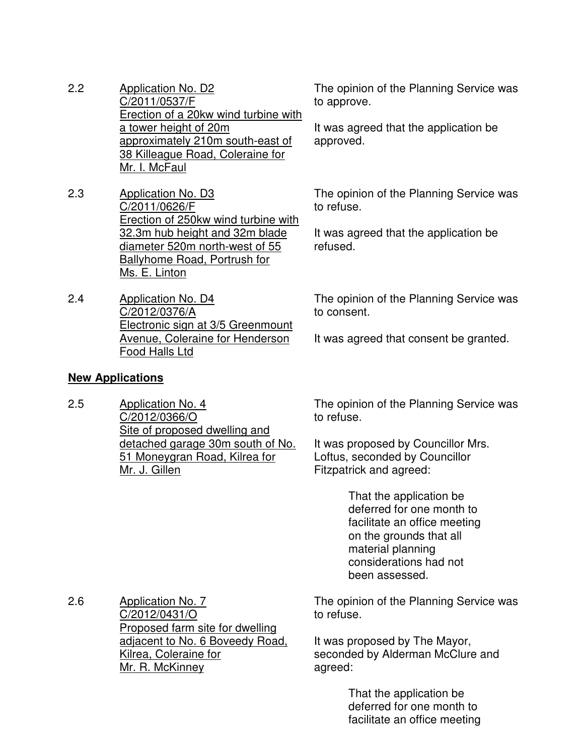- 2.2 Application No. D2 C/2011/0537/F Erection of a 20kw wind turbine with a tower height of 20m approximately 210m south-east of 38 Killeague Road, Coleraine for Mr. I. McFaul
- 2.3 Application No. D3 C/2011/0626/F Erection of 250kw wind turbine with 32.3m hub height and 32m blade diameter 520m north-west of 55 Ballyhome Road, Portrush for Ms. E. Linton
- 2.4 Application No. D4 C/2012/0376/A Electronic sign at 3/5 Greenmount Avenue, Coleraine for Henderson Food Halls Ltd

# **New Applications**

2.5 Application No. 4 C/2012/0366/O Site of proposed dwelling and detached garage 30m south of No. 51 Moneygran Road, Kilrea for Mr. J. Gillen

The opinion of the Planning Service was to approve.

It was agreed that the application be approved.

The opinion of the Planning Service was to refuse.

It was agreed that the application be refused.

The opinion of the Planning Service was to consent.

It was agreed that consent be granted.

The opinion of the Planning Service was to refuse.

It was proposed by Councillor Mrs. Loftus, seconded by Councillor Fitzpatrick and agreed:

> That the application be deferred for one month to facilitate an office meeting on the grounds that all material planning considerations had not been assessed.

2.6 Application No. 7 C/2012/0431/O Proposed farm site for dwelling adjacent to No. 6 Boveedy Road, Kilrea, Coleraine for Mr. R. McKinney

The opinion of the Planning Service was to refuse.

It was proposed by The Mayor, seconded by Alderman McClure and agreed:

> That the application be deferred for one month to facilitate an office meeting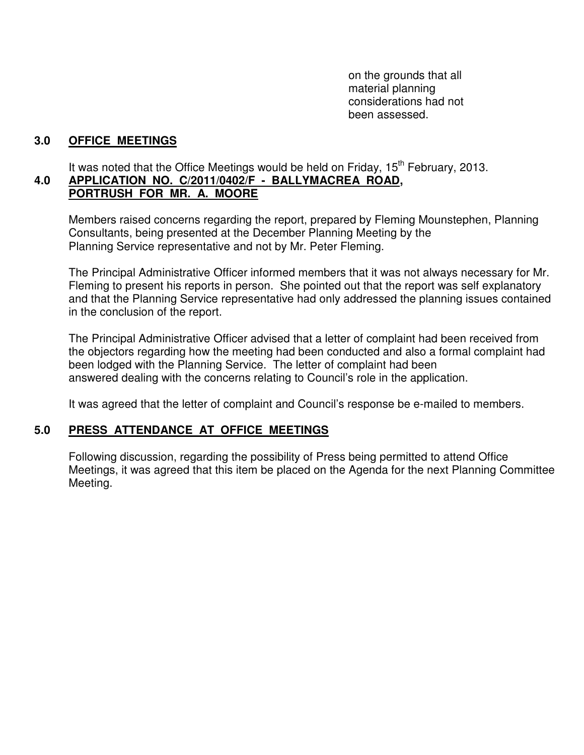on the grounds that all material planning considerations had not been assessed.

## **3.0 OFFICE MEETINGS**

It was noted that the Office Meetings would be held on Friday,  $15<sup>th</sup>$  February, 2013.

#### **4.0 APPLICATION NO. C/2011/0402/F - BALLYMACREA ROAD, PORTRUSH FOR MR. A. MOORE**

Members raised concerns regarding the report, prepared by Fleming Mounstephen, Planning Consultants, being presented at the December Planning Meeting by the Planning Service representative and not by Mr. Peter Fleming.

The Principal Administrative Officer informed members that it was not always necessary for Mr. Fleming to present his reports in person. She pointed out that the report was self explanatory and that the Planning Service representative had only addressed the planning issues contained in the conclusion of the report.

The Principal Administrative Officer advised that a letter of complaint had been received from the objectors regarding how the meeting had been conducted and also a formal complaint had been lodged with the Planning Service. The letter of complaint had been answered dealing with the concerns relating to Council's role in the application.

It was agreed that the letter of complaint and Council's response be e-mailed to members.

## **5.0 PRESS ATTENDANCE AT OFFICE MEETINGS**

 Following discussion, regarding the possibility of Press being permitted to attend Office Meetings, it was agreed that this item be placed on the Agenda for the next Planning Committee Meeting.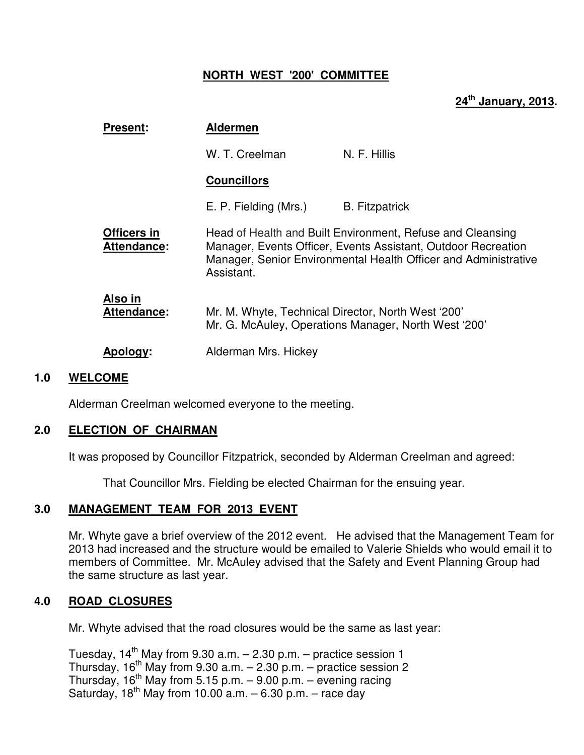## **NORTH WEST '200' COMMITTEE**

# **24th January, 2013.**

| <b>Present:</b>                   | <b>Aldermen</b>                                                                                            |                                                                                                                                                                                                |
|-----------------------------------|------------------------------------------------------------------------------------------------------------|------------------------------------------------------------------------------------------------------------------------------------------------------------------------------------------------|
|                                   | W. T. Creelman                                                                                             | N. F. Hillis                                                                                                                                                                                   |
|                                   | <b>Councillors</b>                                                                                         |                                                                                                                                                                                                |
|                                   | E. P. Fielding (Mrs.)                                                                                      | <b>B.</b> Fitzpatrick                                                                                                                                                                          |
| Officers in<br><b>Attendance:</b> | Assistant.                                                                                                 | Head of Health and Built Environment, Refuse and Cleansing<br>Manager, Events Officer, Events Assistant, Outdoor Recreation<br>Manager, Senior Environmental Health Officer and Administrative |
| Also in<br>Attendance:            | Mr. M. Whyte, Technical Director, North West '200'<br>Mr. G. McAuley, Operations Manager, North West '200' |                                                                                                                                                                                                |
| Apology:                          | Alderman Mrs. Hickey                                                                                       |                                                                                                                                                                                                |
|                                   |                                                                                                            |                                                                                                                                                                                                |

#### **1.0 WELCOME**

Alderman Creelman welcomed everyone to the meeting.

#### **2.0 ELECTION OF CHAIRMAN**

It was proposed by Councillor Fitzpatrick, seconded by Alderman Creelman and agreed:

That Councillor Mrs. Fielding be elected Chairman for the ensuing year.

## **3.0 MANAGEMENT TEAM FOR 2013 EVENT**

Mr. Whyte gave a brief overview of the 2012 event. He advised that the Management Team for 2013 had increased and the structure would be emailed to Valerie Shields who would email it to members of Committee. Mr. McAuley advised that the Safety and Event Planning Group had the same structure as last year.

## **4.0 ROAD CLOSURES**

Mr. Whyte advised that the road closures would be the same as last year:

Tuesday,  $14^{th}$  May from 9.30 a.m.  $-$  2.30 p.m.  $-$  practice session 1 Thursday,  $16^{th}$  May from 9.30 a.m.  $- 2.30$  p.m.  $-$  practice session 2 Thursday,  $16^{th}$  May from 5.15 p.m. – 9.00 p.m. – evening racing Saturday,  $18^{th}$  May from 10.00 a.m.  $-6.30$  p.m.  $-$  race day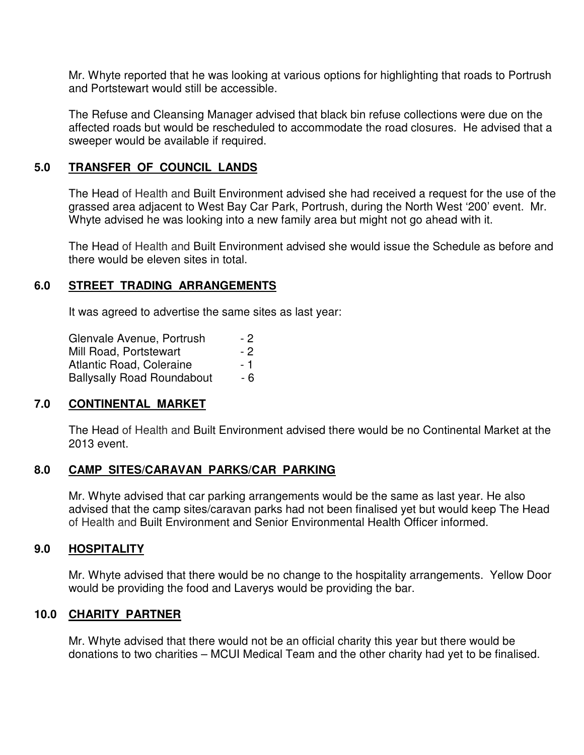Mr. Whyte reported that he was looking at various options for highlighting that roads to Portrush and Portstewart would still be accessible.

The Refuse and Cleansing Manager advised that black bin refuse collections were due on the affected roads but would be rescheduled to accommodate the road closures. He advised that a sweeper would be available if required.

## **5.0 TRANSFER OF COUNCIL LANDS**

The Head of Health and Built Environment advised she had received a request for the use of the grassed area adjacent to West Bay Car Park, Portrush, during the North West '200' event. Mr. Whyte advised he was looking into a new family area but might not go ahead with it.

The Head of Health and Built Environment advised she would issue the Schedule as before and there would be eleven sites in total.

## **6.0 STREET TRADING ARRANGEMENTS**

It was agreed to advertise the same sites as last year:

| Glenvale Avenue, Portrush         | - 2  |
|-----------------------------------|------|
| Mill Road, Portstewart            | $-2$ |
| Atlantic Road, Coleraine          | - 1  |
| <b>Ballysally Road Roundabout</b> | - 6  |

## **7.0 CONTINENTAL MARKET**

The Head of Health and Built Environment advised there would be no Continental Market at the 2013 event.

## **8.0 CAMP SITES/CARAVAN PARKS/CAR PARKING**

Mr. Whyte advised that car parking arrangements would be the same as last year. He also advised that the camp sites/caravan parks had not been finalised yet but would keep The Head of Health and Built Environment and Senior Environmental Health Officer informed.

## **9.0 HOSPITALITY**

Mr. Whyte advised that there would be no change to the hospitality arrangements. Yellow Door would be providing the food and Laverys would be providing the bar.

## **10.0 CHARITY PARTNER**

Mr. Whyte advised that there would not be an official charity this year but there would be donations to two charities – MCUI Medical Team and the other charity had yet to be finalised.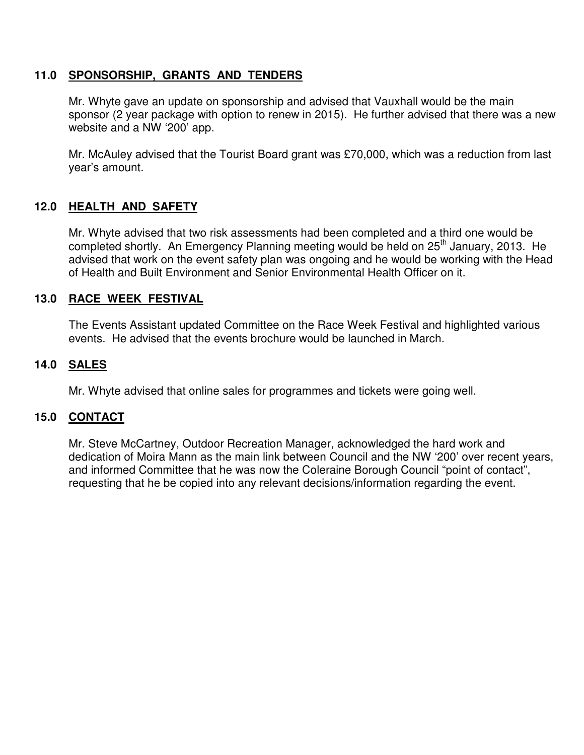## **11.0 SPONSORSHIP, GRANTS AND TENDERS**

Mr. Whyte gave an update on sponsorship and advised that Vauxhall would be the main sponsor (2 year package with option to renew in 2015). He further advised that there was a new website and a NW '200' app.

Mr. McAuley advised that the Tourist Board grant was £70,000, which was a reduction from last year's amount.

## **12.0 HEALTH AND SAFETY**

Mr. Whyte advised that two risk assessments had been completed and a third one would be completed shortly. An Emergency Planning meeting would be held on 25<sup>th</sup> January, 2013. He advised that work on the event safety plan was ongoing and he would be working with the Head of Health and Built Environment and Senior Environmental Health Officer on it.

## **13.0 RACE WEEK FESTIVAL**

The Events Assistant updated Committee on the Race Week Festival and highlighted various events. He advised that the events brochure would be launched in March.

## **14.0 SALES**

Mr. Whyte advised that online sales for programmes and tickets were going well.

## **15.0 CONTACT**

 Mr. Steve McCartney, Outdoor Recreation Manager, acknowledged the hard work and dedication of Moira Mann as the main link between Council and the NW '200' over recent years, and informed Committee that he was now the Coleraine Borough Council "point of contact", requesting that he be copied into any relevant decisions/information regarding the event.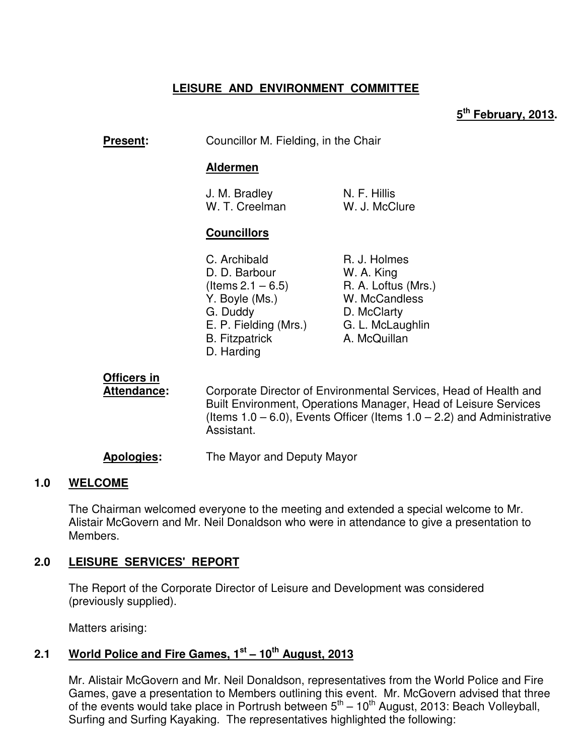# **LEISURE AND ENVIRONMENT COMMITTEE**

## **5 th February, 2013.**

**Present:** Councillor M. Fielding, in the Chair

#### **Aldermen**

| J. M. Bradley  | N. F. Hillis  |
|----------------|---------------|
| W. T. Creelman | W. J. McClure |

#### **Councillors**

| C. Archibald          | R. J. Holmes        |
|-----------------------|---------------------|
| D. D. Barbour         | W. A. King          |
| (Items $2.1 - 6.5$ )  | R. A. Loftus (Mrs.) |
| Y. Boyle (Ms.)        | W. McCandless       |
| G. Duddy              | D. McClarty         |
| E. P. Fielding (Mrs.) | G. L. McLaughlin    |
| <b>B.</b> Fitzpatrick | A. McQuillan        |
| D. Harding            |                     |

# **Officers in**

**Attendance:** Corporate Director of Environmental Services, Head of Health and Built Environment, Operations Manager, Head of Leisure Services (Items  $1.0 - 6.0$ ), Events Officer (Items  $1.0 - 2.2$ ) and Administrative Assistant.

**Apologies:** The Mayor and Deputy Mayor

#### **1.0 WELCOME**

The Chairman welcomed everyone to the meeting and extended a special welcome to Mr. Alistair McGovern and Mr. Neil Donaldson who were in attendance to give a presentation to Members.

## **2.0 LEISURE SERVICES' REPORT**

 The Report of the Corporate Director of Leisure and Development was considered (previously supplied).

Matters arising:

# **2.1 World Police and Fire Games, 1st – 10th August, 2013**

Mr. Alistair McGovern and Mr. Neil Donaldson, representatives from the World Police and Fire Games, gave a presentation to Members outlining this event. Mr. McGovern advised that three of the events would take place in Portrush between  $5<sup>th</sup> - 10<sup>th</sup>$  August, 2013: Beach Volleyball, Surfing and Surfing Kayaking. The representatives highlighted the following: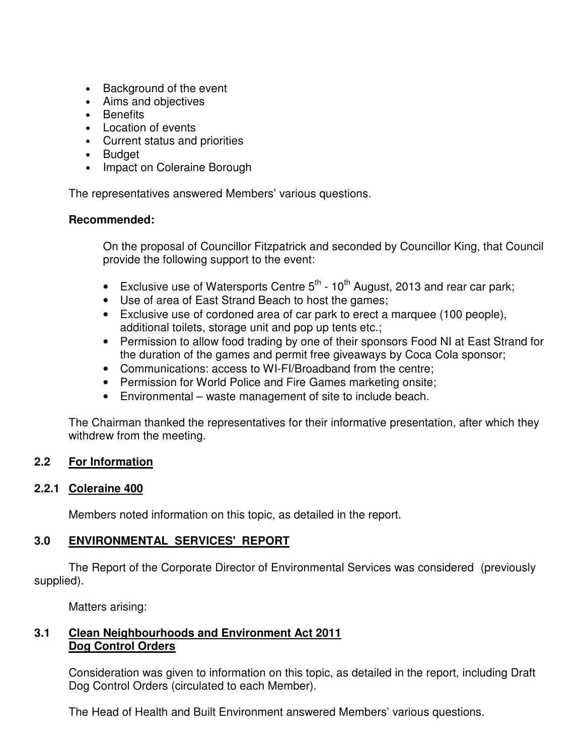- Background of the event
- Aims and objectives
- Benefits
- Location of events
- Current status and priorities
- Budget
- Impact on Coleraine Borough

The representatives answered Members' various questions.

## **Recommended:**

On the proposal of Councillor Fitzpatrick and seconded by Councillor King, that Council provide the following support to the event:

- Exclusive use of Watersports Centre  $5<sup>th</sup>$  10<sup>th</sup> August, 2013 and rear car park;
- Use of area of East Strand Beach to host the games;
- Exclusive use of cordoned area of car park to erect a marquee (100 people), additional toilets, storage unit and pop up tents etc.;
- Permission to allow food trading by one of their sponsors Food NI at East Strand for the duration of the games and permit free giveaways by Coca Cola sponsor;
- Communications: access to WI-FI/Broadband from the centre;
- Permission for World Police and Fire Games marketing onsite;
- Environmental waste management of site to include beach.

The Chairman thanked the representatives for their informative presentation, after which they withdrew from the meeting.

## **2.2 For Information**

## **2.2.1 Coleraine 400**

Members noted information on this topic, as detailed in the report.

## **3.0 ENVIRONMENTAL SERVICES' REPORT**

 The Report of the Corporate Director of Environmental Services was considered (previously supplied).

Matters arising:

## **3.1 Clean Neighbourhoods and Environment Act 2011 Dog Control Orders**

Consideration was given to information on this topic, as detailed in the report, including Draft Dog Control Orders (circulated to each Member).

The Head of Health and Built Environment answered Members' various questions.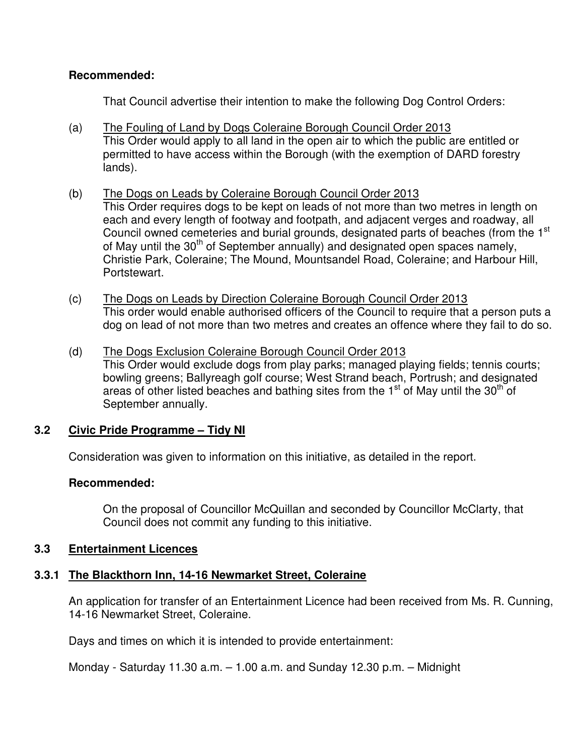## **Recommended:**

That Council advertise their intention to make the following Dog Control Orders:

- (a) The Fouling of Land by Dogs Coleraine Borough Council Order 2013 This Order would apply to all land in the open air to which the public are entitled or permitted to have access within the Borough (with the exemption of DARD forestry lands).
- (b) The Dogs on Leads by Coleraine Borough Council Order 2013 This Order requires dogs to be kept on leads of not more than two metres in length on each and every length of footway and footpath, and adjacent verges and roadway, all Council owned cemeteries and burial grounds, designated parts of beaches (from the 1<sup>st</sup> of May until the 30<sup>th</sup> of September annually) and designated open spaces namely, Christie Park, Coleraine; The Mound, Mountsandel Road, Coleraine; and Harbour Hill, Portstewart.
- (c) The Dogs on Leads by Direction Coleraine Borough Council Order 2013 This order would enable authorised officers of the Council to require that a person puts a dog on lead of not more than two metres and creates an offence where they fail to do so.
- (d) The Dogs Exclusion Coleraine Borough Council Order 2013 This Order would exclude dogs from play parks; managed playing fields; tennis courts; bowling greens; Ballyreagh golf course; West Strand beach, Portrush; and designated areas of other listed beaches and bathing sites from the  $1<sup>st</sup>$  of May until the 30<sup>th</sup> of September annually.

## **3.2 Civic Pride Programme – Tidy NI**

Consideration was given to information on this initiative, as detailed in the report.

## **Recommended:**

On the proposal of Councillor McQuillan and seconded by Councillor McClarty, that Council does not commit any funding to this initiative.

## **3.3 Entertainment Licences**

## **3.3.1 The Blackthorn Inn, 14-16 Newmarket Street, Coleraine**

An application for transfer of an Entertainment Licence had been received from Ms. R. Cunning, 14-16 Newmarket Street, Coleraine.

Days and times on which it is intended to provide entertainment:

Monday - Saturday 11.30 a.m. – 1.00 a.m. and Sunday 12.30 p.m. – Midnight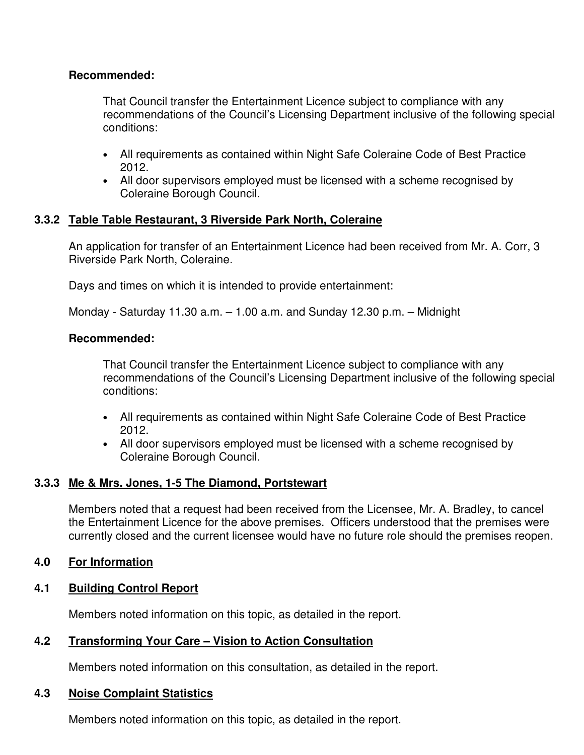## **Recommended:**

That Council transfer the Entertainment Licence subject to compliance with any recommendations of the Council's Licensing Department inclusive of the following special conditions:

- All requirements as contained within Night Safe Coleraine Code of Best Practice 2012.
- All door supervisors employed must be licensed with a scheme recognised by Coleraine Borough Council.

## **3.3.2 Table Table Restaurant, 3 Riverside Park North, Coleraine**

An application for transfer of an Entertainment Licence had been received from Mr. A. Corr, 3 Riverside Park North, Coleraine.

Days and times on which it is intended to provide entertainment:

Monday - Saturday 11.30 a.m. – 1.00 a.m. and Sunday 12.30 p.m. – Midnight

## **Recommended:**

That Council transfer the Entertainment Licence subject to compliance with any recommendations of the Council's Licensing Department inclusive of the following special conditions:

- All requirements as contained within Night Safe Coleraine Code of Best Practice 2012.
- All door supervisors employed must be licensed with a scheme recognised by Coleraine Borough Council.

## **3.3.3 Me & Mrs. Jones, 1-5 The Diamond, Portstewart**

Members noted that a request had been received from the Licensee, Mr. A. Bradley, to cancel the Entertainment Licence for the above premises. Officers understood that the premises were currently closed and the current licensee would have no future role should the premises reopen.

## **4.0 For Information**

## **4.1 Building Control Report**

Members noted information on this topic, as detailed in the report.

## **4.2 Transforming Your Care – Vision to Action Consultation**

Members noted information on this consultation, as detailed in the report.

#### **4.3 Noise Complaint Statistics**

Members noted information on this topic, as detailed in the report.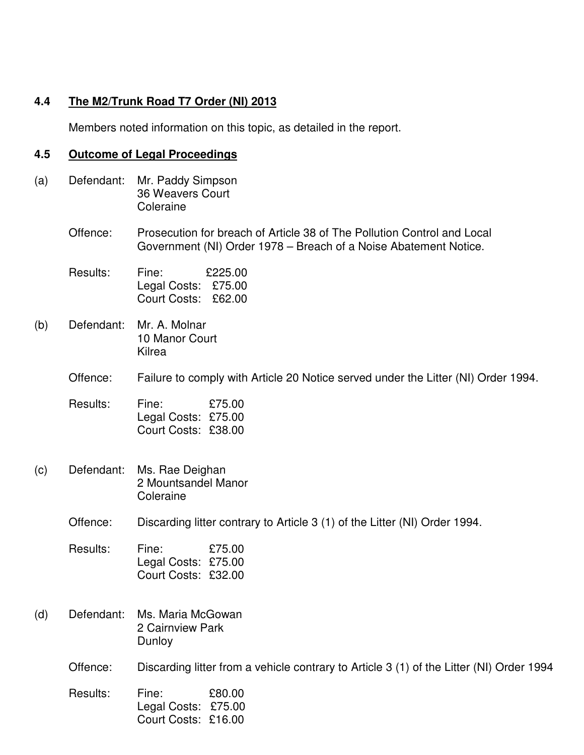# **4.4 The M2/Trunk Road T7 Order (NI) 2013**

Members noted information on this topic, as detailed in the report.

# **4.5 Outcome of Legal Proceedings**

| (a) | Defendant: | Mr. Paddy Simpson<br>36 Weavers Court<br>Coleraine                                                                                          |  |
|-----|------------|---------------------------------------------------------------------------------------------------------------------------------------------|--|
|     | Offence:   | Prosecution for breach of Article 38 of The Pollution Control and Local<br>Government (NI) Order 1978 – Breach of a Noise Abatement Notice. |  |
|     | Results:   | Fine:<br>£225.00<br>Legal Costs: £75.00<br>Court Costs:<br>£62.00                                                                           |  |
| (b) | Defendant: | Mr. A. Molnar<br>10 Manor Court<br>Kilrea                                                                                                   |  |
|     | Offence:   | Failure to comply with Article 20 Notice served under the Litter (NI) Order 1994.                                                           |  |
|     | Results:   | £75.00<br>Fine:<br>Legal Costs: £75.00<br>Court Costs: £38.00                                                                               |  |
| (c) | Defendant: | Ms. Rae Deighan<br>2 Mountsandel Manor<br>Coleraine                                                                                         |  |
|     | Offence:   | Discarding litter contrary to Article 3 (1) of the Litter (NI) Order 1994.                                                                  |  |
|     | Results:   | Fine:<br>£75.00<br>Legal Costs: £75.00<br>Court Costs: £32.00                                                                               |  |
| (d) | Defendant: | Ms. Maria McGowan<br>2 Cairnview Park<br>Dunloy                                                                                             |  |
|     | Offence:   | Discarding litter from a vehicle contrary to Article 3 (1) of the Litter (NI) Order 1994                                                    |  |
|     | Results:   | £80.00<br>Fine:<br>Legal Costs: £75.00<br>Court Costs: £16.00                                                                               |  |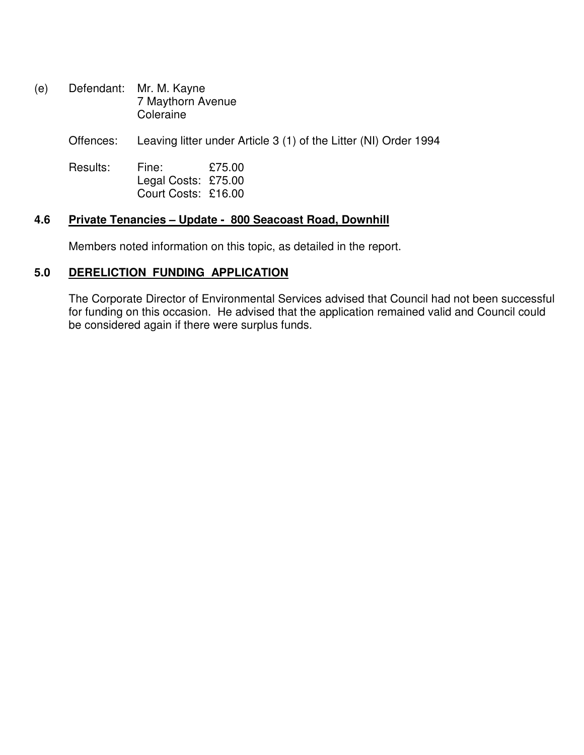(e) Defendant: Mr. M. Kayne 7 Maythorn Avenue Coleraine

Offences: Leaving litter under Article 3 (1) of the Litter (NI) Order 1994

Results: Fine: £75.00 Legal Costs: £75.00 Court Costs: £16.00

#### **4.6 Private Tenancies – Update - 800 Seacoast Road, Downhill**

Members noted information on this topic, as detailed in the report.

#### **5.0 DERELICTION FUNDING APPLICATION**

The Corporate Director of Environmental Services advised that Council had not been successful for funding on this occasion. He advised that the application remained valid and Council could be considered again if there were surplus funds.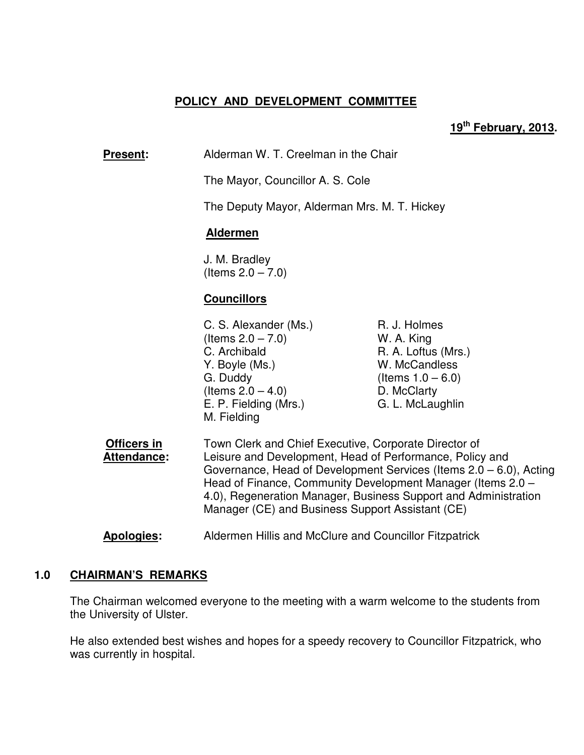## **POLICY AND DEVELOPMENT COMMITTEE**

#### **19th February, 2013.**

**Present:** Alderman W. T. Creelman in the Chair

The Mayor, Councillor A. S. Cole

The Deputy Mayor, Alderman Mrs. M. T. Hickey

#### **Aldermen**

 J. M. Bradley (Items  $2.0 - 7.0$ )

#### **Councillors**

- C. S. Alexander (Ms.) R. J. Holmes  $($ ltems  $2.0 - 7.0)$  W. A. King C. Archibald R. A. Loftus (Mrs.) Y. Boyle (Ms.) W. McCandless G. Duddy  $($ Items  $1.0 - 6.0)$  $($ ltems  $2.0 - 4.0)$  D. McClarty E. P. Fielding (Mrs.) G. L. McLaughlin M. Fielding
- **Officers in** Town Clerk and Chief Executive, Corporate Director of **Attendance:** Leisure and Development, Head of Performance, Policy and Governance, Head of Development Services (Items 2.0 – 6.0), Acting Head of Finance, Community Development Manager (Items 2.0 – 4.0), Regeneration Manager, Business Support and Administration Manager (CE) and Business Support Assistant (CE)

#### **Apologies:** Aldermen Hillis and McClure and Councillor Fitzpatrick

#### **1.0 CHAIRMAN'S REMARKS**

The Chairman welcomed everyone to the meeting with a warm welcome to the students from the University of Ulster.

He also extended best wishes and hopes for a speedy recovery to Councillor Fitzpatrick, who was currently in hospital.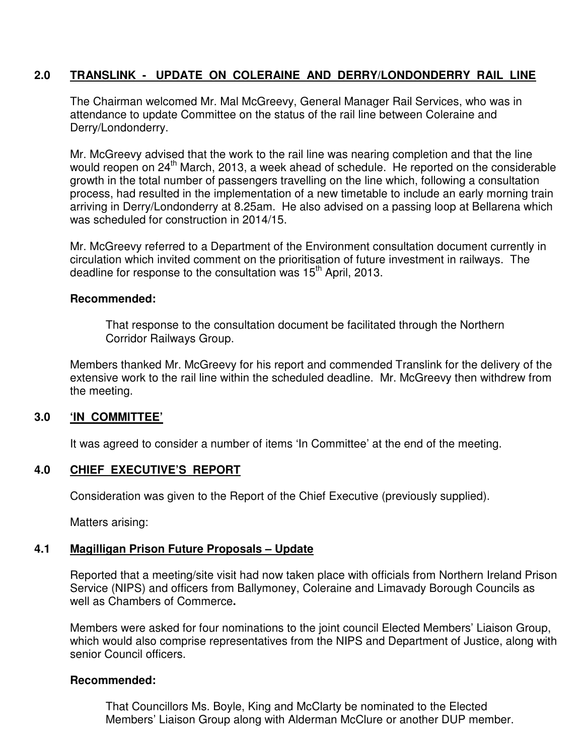## **2.0 TRANSLINK - UPDATE ON COLERAINE AND DERRY/LONDONDERRY RAIL LINE**

The Chairman welcomed Mr. Mal McGreevy, General Manager Rail Services, who was in attendance to update Committee on the status of the rail line between Coleraine and Derry/Londonderry.

Mr. McGreevy advised that the work to the rail line was nearing completion and that the line would reopen on 24<sup>th</sup> March, 2013, a week ahead of schedule. He reported on the considerable growth in the total number of passengers travelling on the line which, following a consultation process, had resulted in the implementation of a new timetable to include an early morning train arriving in Derry/Londonderry at 8.25am.He also advised on a passing loop at Bellarena which was scheduled for construction in 2014/15.

Mr. McGreevy referred to a Department of the Environment consultation document currently in circulation which invited comment on the prioritisation of future investment in railways. The deadline for response to the consultation was 15<sup>th</sup> April, 2013.

## **Recommended:**

That response to the consultation document be facilitated through the Northern Corridor Railways Group.

Members thanked Mr. McGreevy for his report and commended Translink for the delivery of the extensive work to the rail line within the scheduled deadline. Mr. McGreevy then withdrew from the meeting.

## **3.0 'IN COMMITTEE'**

It was agreed to consider a number of items 'In Committee' at the end of the meeting.

## **4.0 CHIEF EXECUTIVE'S REPORT**

Consideration was given to the Report of the Chief Executive (previously supplied).

Matters arising:

## **4.1 Magilligan Prison Future Proposals – Update**

Reported that a meeting/site visit had now taken place with officials from Northern Ireland Prison Service (NIPS) and officers from Ballymoney, Coleraine and Limavady Borough Councils as well as Chambers of Commerce**.** 

Members were asked for four nominations to the joint council Elected Members' Liaison Group, which would also comprise representatives from the NIPS and Department of Justice, along with senior Council officers.

## **Recommended:**

That Councillors Ms. Boyle, King and McClarty be nominated to the Elected Members' Liaison Group along with Alderman McClure or another DUP member.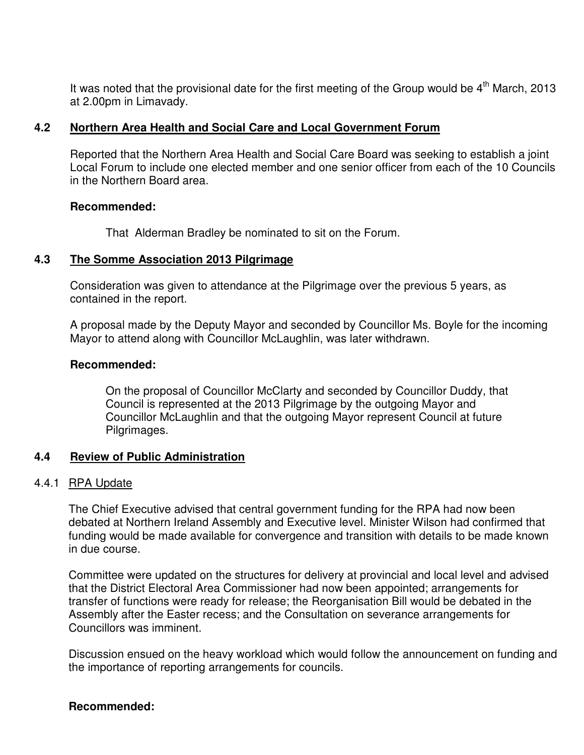It was noted that the provisional date for the first meeting of the Group would be  $4<sup>th</sup>$  March, 2013 at 2.00pm in Limavady.

#### **4.2 Northern Area Health and Social Care and Local Government Forum**

Reported that the Northern Area Health and Social Care Board was seeking to establish a joint Local Forum to include one elected member and one senior officer from each of the 10 Councils in the Northern Board area.

#### **Recommended:**

That Alderman Bradley be nominated to sit on the Forum.

## **4.3 The Somme Association 2013 Pilgrimage**

Consideration was given to attendance at the Pilgrimage over the previous 5 years, as contained in the report.

A proposal made by the Deputy Mayor and seconded by Councillor Ms. Boyle for the incoming Mayor to attend along with Councillor McLaughlin, was later withdrawn.

#### **Recommended:**

On the proposal of Councillor McClarty and seconded by Councillor Duddy, that Council is represented at the 2013 Pilgrimage by the outgoing Mayor and Councillor McLaughlin and that the outgoing Mayor represent Council at future Pilgrimages.

## **4.4 Review of Public Administration**

## 4.4.1 RPA Update

The Chief Executive advised that central government funding for the RPA had now been debated at Northern Ireland Assembly and Executive level. Minister Wilson had confirmed that funding would be made available for convergence and transition with details to be made known in due course.

Committee were updated on the structures for delivery at provincial and local level and advised that the District Electoral Area Commissioner had now been appointed; arrangements for transfer of functions were ready for release; the Reorganisation Bill would be debated in the Assembly after the Easter recess; and the Consultation on severance arrangements for Councillors was imminent.

Discussion ensued on the heavy workload which would follow the announcement on funding and the importance of reporting arrangements for councils.

## **Recommended:**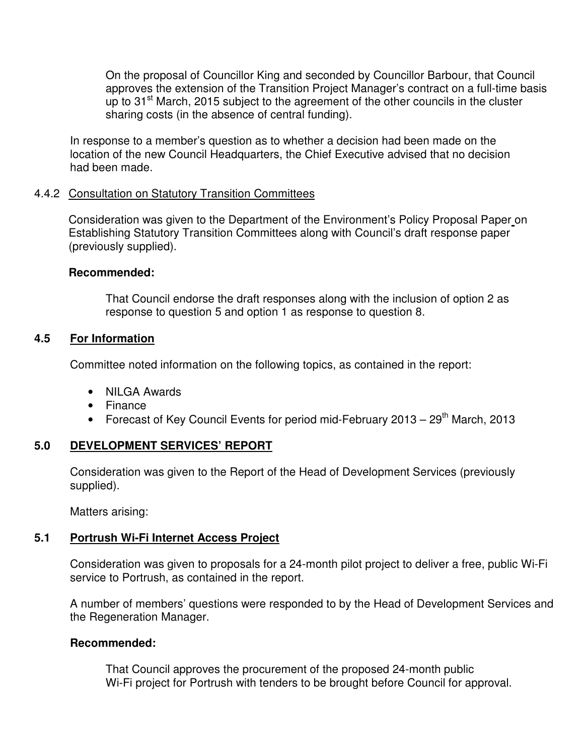On the proposal of Councillor King and seconded by Councillor Barbour, that Council approves the extension of the Transition Project Manager's contract on a full-time basis up to 31<sup>st</sup> March, 2015 subject to the agreement of the other councils in the cluster sharing costs (in the absence of central funding).

 In response to a member's question as to whether a decision had been made on the location of the new Council Headquarters, the Chief Executive advised that no decision had been made.

## 4.4.2 Consultation on Statutory Transition Committees

Consideration was given to the Department of the Environment's Policy Proposal Paper on Establishing Statutory Transition Committees along with Council's draft response paper (previously supplied).

## **Recommended:**

 That Council endorse the draft responses along with the inclusion of option 2 as response to question 5 and option 1 as response to question 8.

## **4.5 For Information**

Committee noted information on the following topics, as contained in the report:

- NILGA Awards
- Finance
- Forecast of Key Council Events for period mid-February  $2013 29$ <sup>th</sup> March. 2013

## **5.0 DEVELOPMENT SERVICES' REPORT**

 Consideration was given to the Report of the Head of Development Services (previously supplied).

Matters arising:

# **5.1 Portrush Wi-Fi Internet Access Project**

Consideration was given to proposals for a 24-month pilot project to deliver a free, public Wi-Fi service to Portrush, as contained in the report.

 A number of members' questions were responded to by the Head of Development Services and the Regeneration Manager.

# **Recommended:**

 That Council approves the procurement of the proposed 24-month public Wi-Fi project for Portrush with tenders to be brought before Council for approval.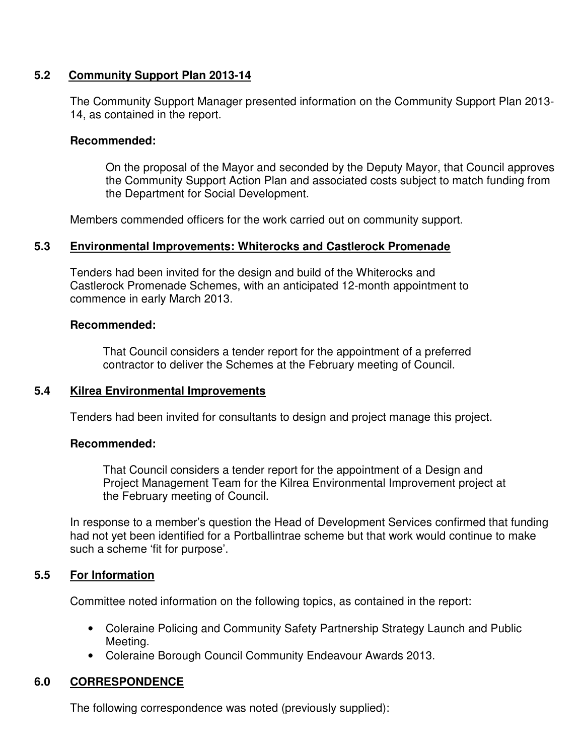## **5.2 Community Support Plan 2013-14**

The Community Support Manager presented information on the Community Support Plan 2013- 14, as contained in the report.

## **Recommended:**

On the proposal of the Mayor and seconded by the Deputy Mayor, that Council approves the Community Support Action Plan and associated costs subject to match funding from the Department for Social Development.

Members commended officers for the work carried out on community support.

## **5.3 Environmental Improvements: Whiterocks and Castlerock Promenade**

 Tenders had been invited for the design and build of the Whiterocks and Castlerock Promenade Schemes, with an anticipated 12-month appointment to commence in early March 2013.

## **Recommended:**

 That Council considers a tender report for the appointment of a preferred contractor to deliver the Schemes at the February meeting of Council.

## **5.4 Kilrea Environmental Improvements**

Tenders had been invited for consultants to design and project manage this project.

## **Recommended:**

 That Council considers a tender report for the appointment of a Design and Project Management Team for the Kilrea Environmental Improvement project at the February meeting of Council.

 In response to a member's question the Head of Development Services confirmed that funding had not yet been identified for a Portballintrae scheme but that work would continue to make such a scheme 'fit for purpose'.

## **5.5 For Information**

Committee noted information on the following topics, as contained in the report:

- Coleraine Policing and Community Safety Partnership Strategy Launch and Public Meeting.
- Coleraine Borough Council Community Endeavour Awards 2013.

# **6.0 CORRESPONDENCE**

The following correspondence was noted (previously supplied):